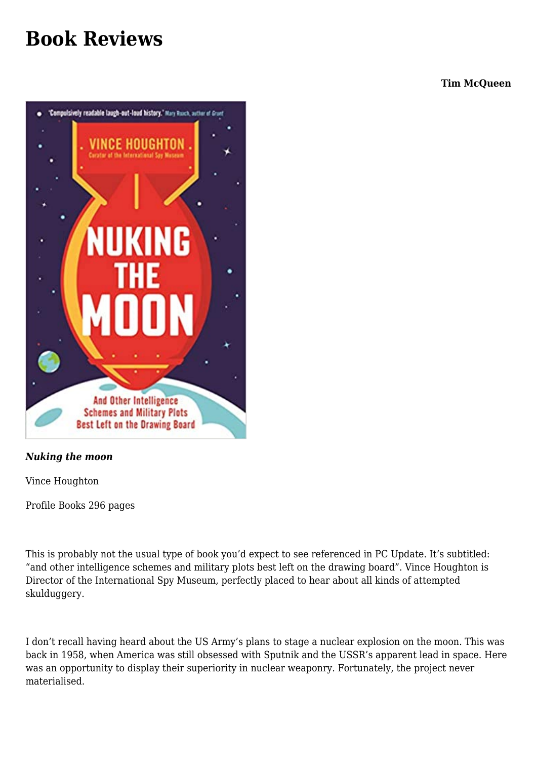## **[Book Reviews](https://www.melbpc.org.au/book-reviews-2/)**

**Tim McQueen**



## *Nuking the moon*

Vince Houghton

Profile Books 296 pages

This is probably not the usual type of book you'd expect to see referenced in PC Update. It's subtitled: "and other intelligence schemes and military plots best left on the drawing board". Vince Houghton is Director of the International Spy Museum, perfectly placed to hear about all kinds of attempted skulduggery.

I don't recall having heard about the US Army's plans to stage a nuclear explosion on the moon. This was back in 1958, when America was still obsessed with Sputnik and the USSR's apparent lead in space. Here was an opportunity to display their superiority in nuclear weaponry. Fortunately, the project never materialised.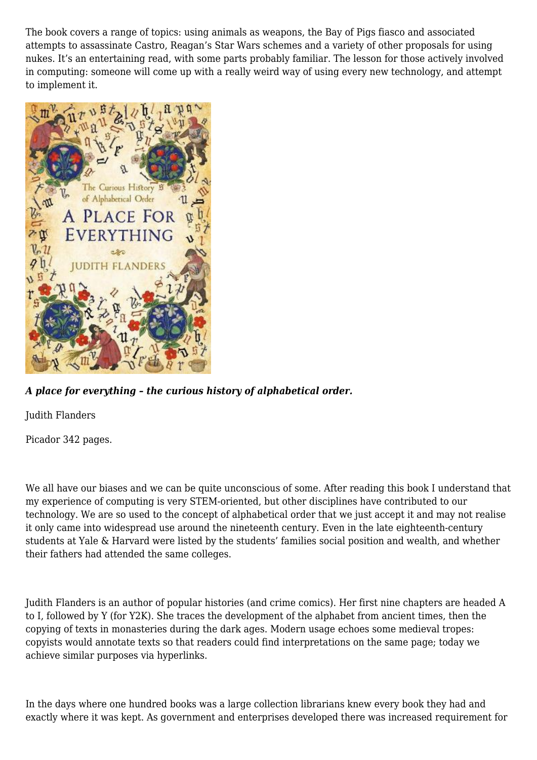The book covers a range of topics: using animals as weapons, the Bay of Pigs fiasco and associated attempts to assassinate Castro, Reagan's Star Wars schemes and a variety of other proposals for using nukes. It's an entertaining read, with some parts probably familiar. The lesson for those actively involved in computing: someone will come up with a really weird way of using every new technology, and attempt to implement it.



## *A place for everything – the curious history of alphabetical order.*

Judith Flanders

Picador 342 pages.

We all have our biases and we can be quite unconscious of some. After reading this book I understand that my experience of computing is very STEM-oriented, but other disciplines have contributed to our technology. We are so used to the concept of alphabetical order that we just accept it and may not realise it only came into widespread use around the nineteenth century. Even in the late eighteenth-century students at Yale & Harvard were listed by the students' families social position and wealth, and whether their fathers had attended the same colleges.

Judith Flanders is an author of popular histories (and crime comics). Her first nine chapters are headed A to I, followed by Y (for Y2K). She traces the development of the alphabet from ancient times, then the copying of texts in monasteries during the dark ages. Modern usage echoes some medieval tropes: copyists would annotate texts so that readers could find interpretations on the same page; today we achieve similar purposes via hyperlinks.

In the days where one hundred books was a large collection librarians knew every book they had and exactly where it was kept. As government and enterprises developed there was increased requirement for